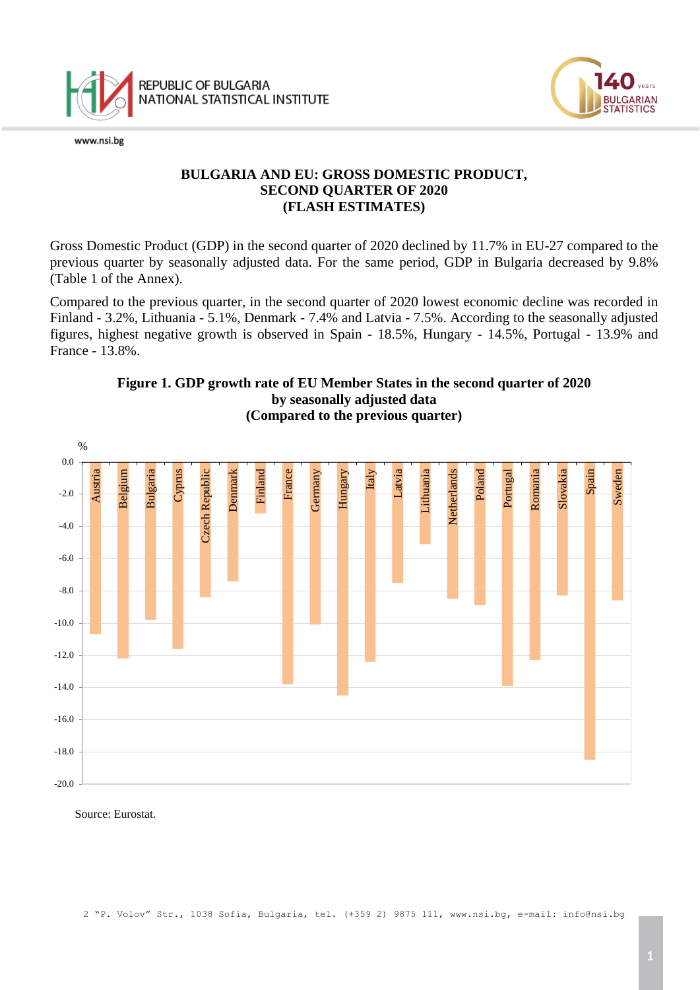

www.nsi.bg



## **BULGARIA AND EU: GROSS DOMESTIC PRODUCT, SECOND QUARTER OF 2020 (FLASH ESTIMATES)**

Gross Domestic Product (GDP) in the second quarter of 2020 declined by 11.7% in EU-27 compared to the previous quarter by seasonally adjusted data. For the same period, GDP in Bulgaria decreased by 9.8% (Table 1 of the Annex).

Compared to the previous quarter, in the second quarter of 2020 lowest economic decline was recorded in Finland - 3.2%, Lithuania - 5.1%, Denmark - 7.4% and Latvia - 7.5%. According to the seasonally adjusted figures, highest negative growth is observed in Spain - 18.5%, Hungary - 14.5%, Portugal - 13.9% and France - 13.8%.



### **Figure 1. GDP growth rate of EU Member States in the second quarter of 2020 by seasonally adjusted data (Compared to the previous quarter)**

Source: Eurostat.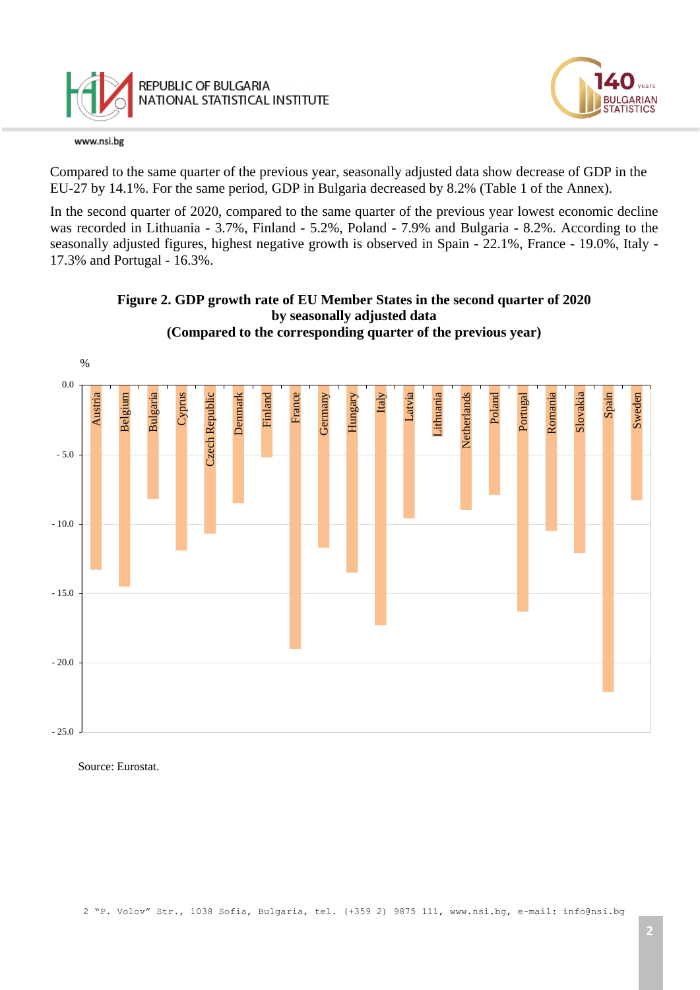

www.nsi.bg

**ILGARIAN TATISTICS** 

Compared to the same quarter of the previous year, seasonally adjusted data show decrease of GDP in the EU-27 by 14.1%. For the same period, GDP in Bulgaria decreased by 8.2% (Table 1 of the Annex).

In the second quarter of 2020, compared to the same quarter of the previous year lowest economic decline was recorded in Lithuania - 3.7%, Finland - 5.2%, Poland - 7.9% and Bulgaria - 8.2%. According to the seasonally adjusted figures, highest negative growth is observed in Spain - 22.1%, France - 19.0%, Italy - 17.3% and Portugal - 16.3%.



**Figure 2. GDP growth rate of EU Member States in the second quarter of 2020 by seasonally adjusted data (Compared to the corresponding quarter of the previous year)**

Source: Eurostat.